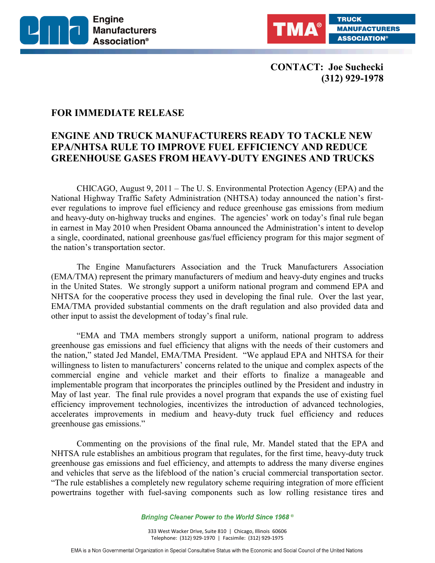



**CONTACT: Joe Suchecki (312) 929-1978**

## **FOR IMMEDIATE RELEASE**

## **ENGINE AND TRUCK MANUFACTURERS READY TO TACKLE NEW EPA/NHTSA RULE TO IMPROVE FUEL EFFICIENCY AND REDUCE GREENHOUSE GASES FROM HEAVY-DUTY ENGINES AND TRUCKS**

CHICAGO, August 9, 2011 – The U. S. Environmental Protection Agency (EPA) and the National Highway Traffic Safety Administration (NHTSA) today announced the nation's firstever regulations to improve fuel efficiency and reduce greenhouse gas emissions from medium and heavy-duty on-highway trucks and engines. The agencies' work on today's final rule began in earnest in May 2010 when President Obama announced the Administration's intent to develop a single, coordinated, national greenhouse gas/fuel efficiency program for this major segment of the nation's transportation sector.

The Engine Manufacturers Association and the Truck Manufacturers Association (EMA/TMA) represent the primary manufacturers of medium and heavy-duty engines and trucks in the United States. We strongly support a uniform national program and commend EPA and NHTSA for the cooperative process they used in developing the final rule. Over the last year, EMA/TMA provided substantial comments on the draft regulation and also provided data and other input to assist the development of today's final rule.

"EMA and TMA members strongly support a uniform, national program to address greenhouse gas emissions and fuel efficiency that aligns with the needs of their customers and the nation," stated Jed Mandel, EMA/TMA President. "We applaud EPA and NHTSA for their willingness to listen to manufacturers' concerns related to the unique and complex aspects of the commercial engine and vehicle market and their efforts to finalize a manageable and implementable program that incorporates the principles outlined by the President and industry in May of last year. The final rule provides a novel program that expands the use of existing fuel efficiency improvement technologies, incentivizes the introduction of advanced technologies, accelerates improvements in medium and heavy-duty truck fuel efficiency and reduces greenhouse gas emissions."

Commenting on the provisions of the final rule, Mr. Mandel stated that the EPA and NHTSA rule establishes an ambitious program that regulates, for the first time, heavy-duty truck greenhouse gas emissions and fuel efficiency, and attempts to address the many diverse engines and vehicles that serve as the lifeblood of the nation's crucial commercial transportation sector. "The rule establishes a completely new regulatory scheme requiring integration of more efficient powertrains together with fuel-saving components such as low rolling resistance tires and

Bringing Cleaner Power to the World Since 1968<sup>®</sup>